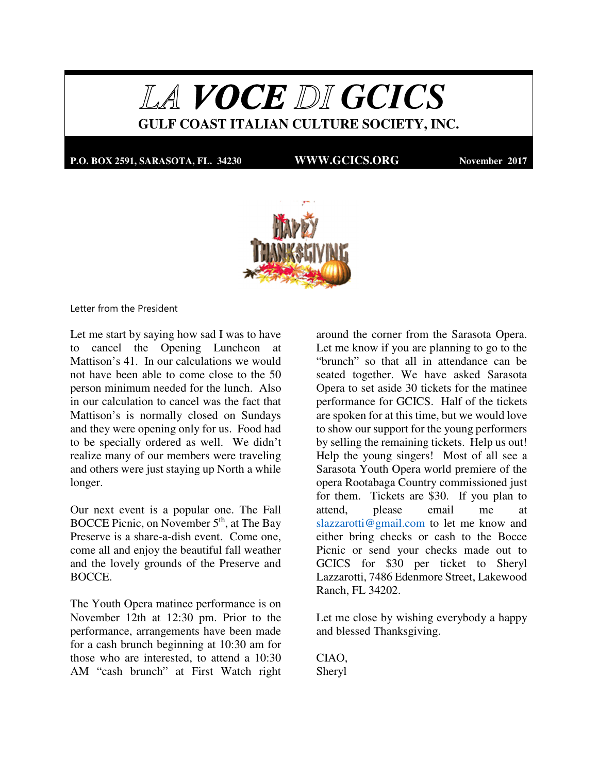LA VOCE DI GCICS **GULF COAST ITALIAN CULTURE SOCIETY, INC.** 

**P.O. BOX 2591, SARASOTA, FL. 34230 WWW.GCICS.ORG November 2017**



Letter from the President

Let me start by saying how sad I was to have to cancel the Opening Luncheon at Mattison's 41. In our calculations we would not have been able to come close to the 50 person minimum needed for the lunch. Also in our calculation to cancel was the fact that Mattison's is normally closed on Sundays and they were opening only for us. Food had to be specially ordered as well. We didn't realize many of our members were traveling and others were just staying up North a while longer.

Our next event is a popular one. The Fall BOCCE Picnic, on November 5<sup>th</sup>, at The Bay Preserve is a share-a-dish event. Come one, come all and enjoy the beautiful fall weather and the lovely grounds of the Preserve and BOCCE.

The Youth Opera matinee performance is on November 12th at 12:30 pm. Prior to the performance, arrangements have been made for a cash brunch beginning at 10:30 am for those who are interested, to attend a 10:30 AM "cash brunch" at First Watch right

around the corner from the Sarasota Opera. Let me know if you are planning to go to the "brunch" so that all in attendance can be seated together. We have asked Sarasota Opera to set aside 30 tickets for the matinee performance for GCICS. Half of the tickets are spoken for at this time, but we would love to show our support for the young performers by selling the remaining tickets. Help us out! Help the young singers! Most of all see a Sarasota Youth Opera world premiere of the opera Rootabaga Country commissioned just for them. Tickets are \$30. If you plan to attend, please email me at slazzarotti@gmail.com to let me know and either bring checks or cash to the Bocce Picnic or send your checks made out to GCICS for \$30 per ticket to Sheryl Lazzarotti, 7486 Edenmore Street, Lakewood Ranch, FL 34202.

Let me close by wishing everybody a happy and blessed Thanksgiving.

CIAO, Sheryl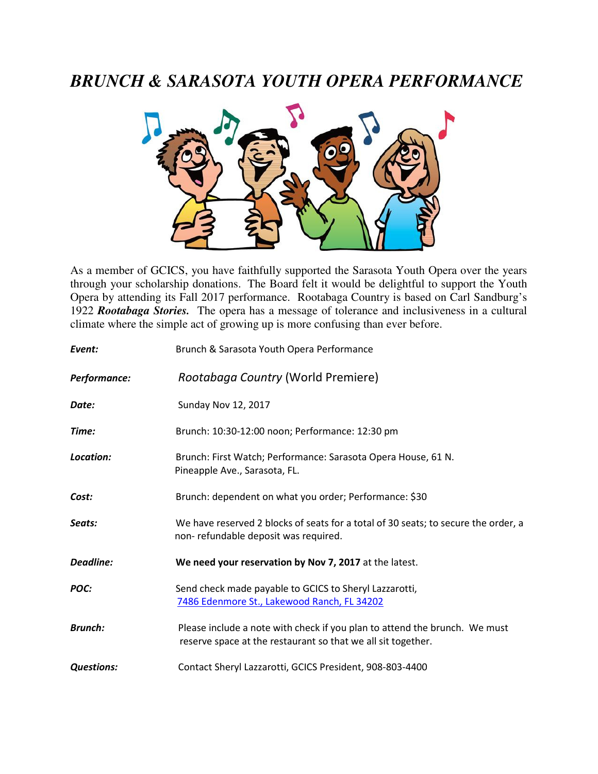## *BRUNCH & SARASOTA YOUTH OPERA PERFORMANCE*



As a member of GCICS, you have faithfully supported the Sarasota Youth Opera over the years through your scholarship donations. The Board felt it would be delightful to support the Youth Opera by attending its Fall 2017 performance. Rootabaga Country is based on Carl Sandburg's 1922 *Rootabaga Stories.* The opera has a message of tolerance and inclusiveness in a cultural climate where the simple act of growing up is more confusing than ever before.

| Event:            | Brunch & Sarasota Youth Opera Performance                                                                                                  |  |
|-------------------|--------------------------------------------------------------------------------------------------------------------------------------------|--|
| Performance:      | Rootabaga Country (World Premiere)                                                                                                         |  |
| Date:             | <b>Sunday Nov 12, 2017</b>                                                                                                                 |  |
| Time:             | Brunch: 10:30-12:00 noon; Performance: 12:30 pm                                                                                            |  |
| Location:         | Brunch: First Watch; Performance: Sarasota Opera House, 61 N.<br>Pineapple Ave., Sarasota, FL.                                             |  |
| Cost:             | Brunch: dependent on what you order; Performance: \$30                                                                                     |  |
| Seats:            | We have reserved 2 blocks of seats for a total of 30 seats; to secure the order, a<br>non-refundable deposit was required.                 |  |
| <b>Deadline:</b>  | We need your reservation by Nov 7, 2017 at the latest.                                                                                     |  |
| POC:              | Send check made payable to GCICS to Sheryl Lazzarotti,<br>7486 Edenmore St., Lakewood Ranch, FL 34202                                      |  |
| <b>Brunch:</b>    | Please include a note with check if you plan to attend the brunch. We must<br>reserve space at the restaurant so that we all sit together. |  |
| <b>Questions:</b> | Contact Sheryl Lazzarotti, GCICS President, 908-803-4400                                                                                   |  |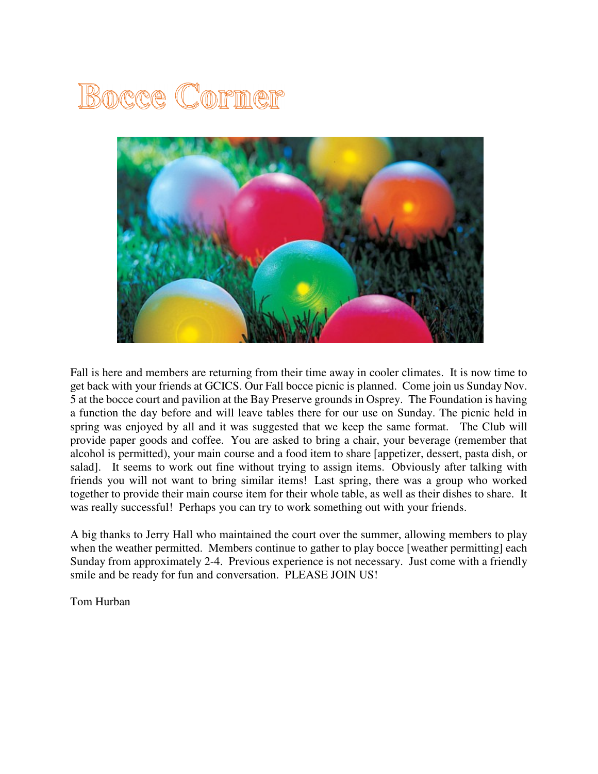# Bocce Corner



Fall is here and members are returning from their time away in cooler climates. It is now time to get back with your friends at GCICS. Our Fall bocce picnic is planned. Come join us Sunday Nov. 5 at the bocce court and pavilion at the Bay Preserve grounds in Osprey. The Foundation is having a function the day before and will leave tables there for our use on Sunday. The picnic held in spring was enjoyed by all and it was suggested that we keep the same format. The Club will provide paper goods and coffee. You are asked to bring a chair, your beverage (remember that alcohol is permitted), your main course and a food item to share [appetizer, dessert, pasta dish, or salad]. It seems to work out fine without trying to assign items. Obviously after talking with friends you will not want to bring similar items! Last spring, there was a group who worked together to provide their main course item for their whole table, as well as their dishes to share. It was really successful! Perhaps you can try to work something out with your friends.

A big thanks to Jerry Hall who maintained the court over the summer, allowing members to play when the weather permitted. Members continue to gather to play bocce [weather permitting] each Sunday from approximately 2-4. Previous experience is not necessary. Just come with a friendly smile and be ready for fun and conversation. PLEASE JOIN US!

Tom Hurban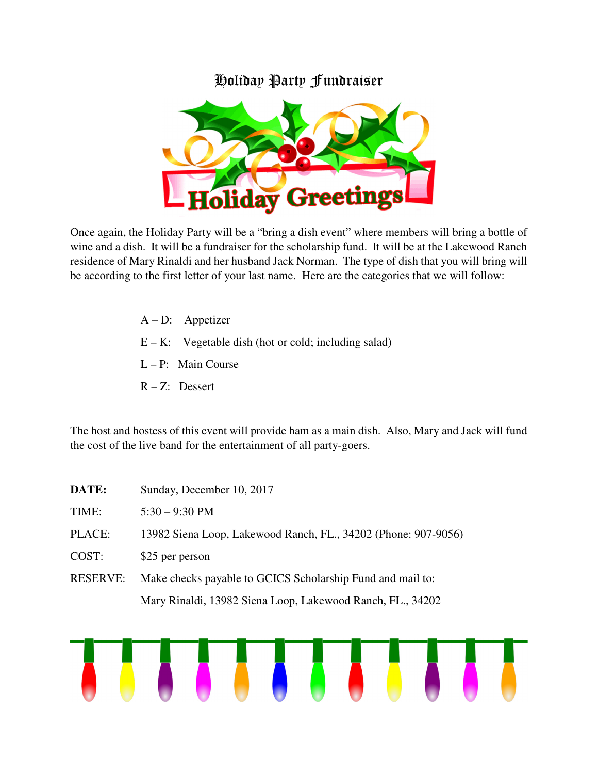### Holiday Party Fundraiser



Once again, the Holiday Party will be a "bring a dish event" where members will bring a bottle of wine and a dish. It will be a fundraiser for the scholarship fund. It will be at the Lakewood Ranch residence of Mary Rinaldi and her husband Jack Norman. The type of dish that you will bring will be according to the first letter of your last name. Here are the categories that we will follow:

- A D: Appetizer
- $E K$ : Vegetable dish (hot or cold; including salad)
- L P: Main Course
- R Z: Dessert

The host and hostess of this event will provide ham as a main dish. Also, Mary and Jack will fund the cost of the live band for the entertainment of all party-goers.

| DATE:           | Sunday, December 10, 2017                                      |
|-----------------|----------------------------------------------------------------|
| TIME:           | $5:30 - 9:30 \text{ PM}$                                       |
| PLACE:          | 13982 Siena Loop, Lakewood Ranch, FL., 34202 (Phone: 907-9056) |
| COST:           | \$25 per person                                                |
| <b>RESERVE:</b> | Make checks payable to GCICS Scholarship Fund and mail to:     |
|                 | Mary Rinaldi, 13982 Siena Loop, Lakewood Ranch, FL., 34202     |

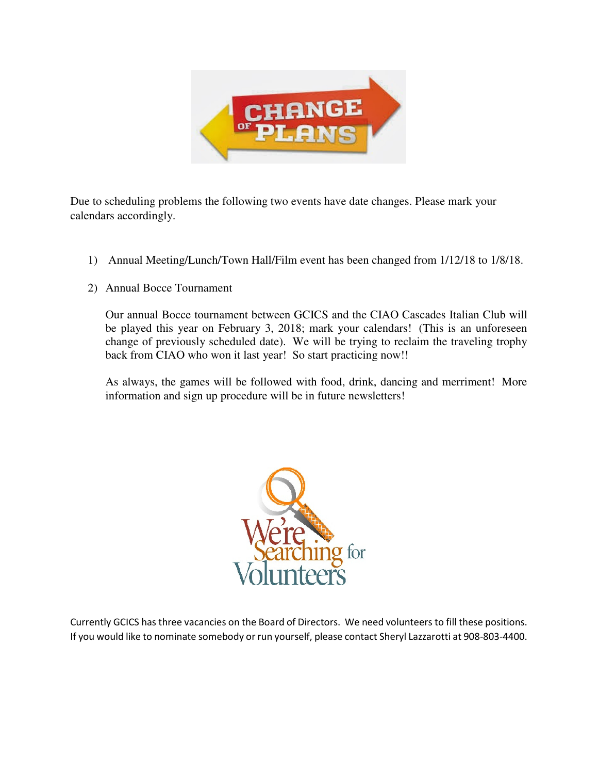

Due to scheduling problems the following two events have date changes. Please mark your calendars accordingly.

- 1) Annual Meeting/Lunch/Town Hall/Film event has been changed from 1/12/18 to 1/8/18.
- 2) Annual Bocce Tournament

Our annual Bocce tournament between GCICS and the CIAO Cascades Italian Club will be played this year on February 3, 2018; mark your calendars! (This is an unforeseen change of previously scheduled date). We will be trying to reclaim the traveling trophy back from CIAO who won it last year! So start practicing now!!

As always, the games will be followed with food, drink, dancing and merriment! More information and sign up procedure will be in future newsletters!



Currently GCICS has three vacancies on the Board of Directors. We need volunteers to fill these positions. If you would like to nominate somebody or run yourself, please contact Sheryl Lazzarotti at 908-803-4400.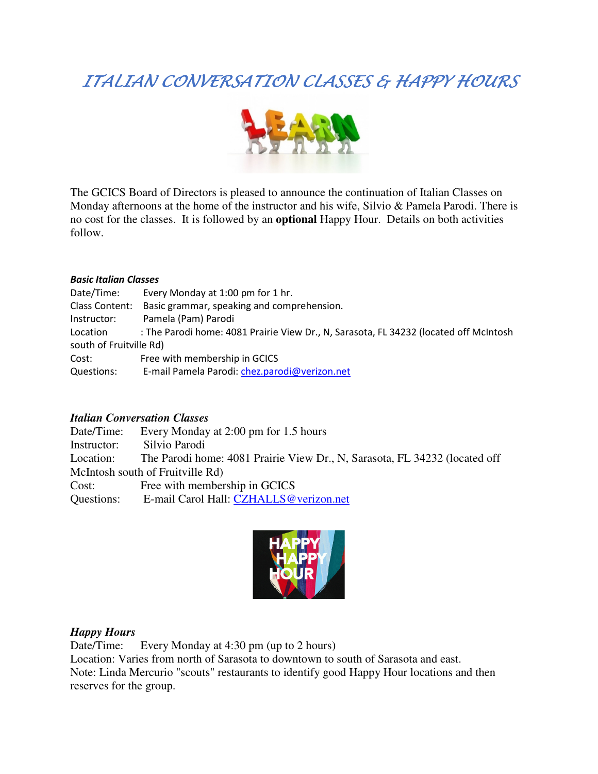## ITALIAN CONVERSATION CLASSES & HAPPY HOURS



The GCICS Board of Directors is pleased to announce the continuation of Italian Classes on Monday afternoons at the home of the instructor and his wife, Silvio & Pamela Parodi. There is no cost for the classes. It is followed by an **optional** Happy Hour. Details on both activities follow.

#### *Basic Italian Classes*

| Date/Time:              | Every Monday at 1:00 pm for 1 hr.                                                     |  |  |
|-------------------------|---------------------------------------------------------------------------------------|--|--|
| Class Content:          | Basic grammar, speaking and comprehension.                                            |  |  |
| Instructor:             | Pamela (Pam) Parodi                                                                   |  |  |
| Location                | : The Parodi home: 4081 Prairie View Dr., N, Sarasota, FL 34232 (located off McIntosh |  |  |
| south of Fruitville Rd) |                                                                                       |  |  |
| Cost:                   | Free with membership in GCICS                                                         |  |  |
| Questions:              | E-mail Pamela Parodi: chez.parodi@verizon.net                                         |  |  |

#### *Italian Conversation Classes*

Date/Time: Every Monday at 2:00 pm for 1.5 hours Instructor: Silvio Parodi Location: The Parodi home: 4081 Prairie View Dr., N, Sarasota, FL 34232 (located off McIntosh south of Fruitville Rd) Cost: Free with membership in GCICS Questions: E-mail Carol Hall: CZHALLS@verizon.net



#### *Happy Hours*

Date/Time: Every Monday at 4:30 pm (up to 2 hours) Location: Varies from north of Sarasota to downtown to south of Sarasota and east. Note: Linda Mercurio "scouts" restaurants to identify good Happy Hour locations and then reserves for the group.